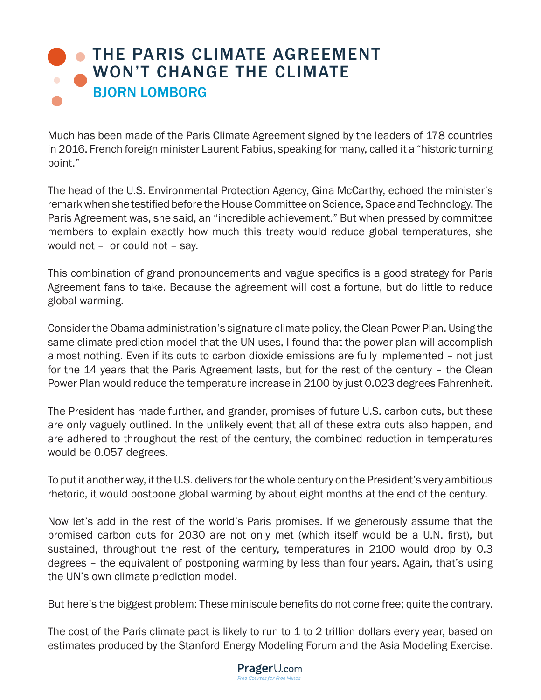## **[THE PARIS CLIMATE AGREEMENT](https://www.prageru.com/courses/environmental-science/paris-climate-agreement-wont-change-climate)** WON'T CHANGE THE CLIMATE BJORN LOMBORG

Much has been made of the Paris Climate Agreement signed by the leaders of 178 countries in 2016. French foreign minister Laurent Fabius, speaking for many, called it a "historic turning point."

The head of the U.S. Environmental Protection Agency, Gina McCarthy, echoed the minister's remark when she testified before the House Committee on Science, Space and Technology. The Paris Agreement was, she said, an "incredible achievement." But when pressed by committee members to explain exactly how much this treaty would reduce global temperatures, she would not – or could not – say.

This combination of grand pronouncements and vague specifics is a good strategy for Paris Agreement fans to take. Because the agreement will cost a fortune, but do little to reduce global warming.

Consider the Obama administration's signature climate policy, the Clean Power Plan. Using the same climate prediction model that the UN uses, I found that the power plan will accomplish almost nothing. Even if its cuts to carbon dioxide emissions are fully implemented – not just for the 14 years that the Paris Agreement lasts, but for the rest of the century – the Clean Power Plan would reduce the temperature increase in 2100 by just 0.023 degrees Fahrenheit.

The President has made further, and grander, promises of future U.S. carbon cuts, but these are only vaguely outlined. In the unlikely event that all of these extra cuts also happen, and are adhered to throughout the rest of the century, the combined reduction in temperatures would be 0.057 degrees.

To put it another way, if the U.S. delivers for the whole century on the President's very ambitious rhetoric, it would postpone global warming by about eight months at the end of the century.

Now let's add in the rest of the world's Paris promises. If we generously assume that the promised carbon cuts for 2030 are not only met (which itself would be a U.N. first), but sustained, throughout the rest of the century, temperatures in 2100 would drop by 0.3 degrees – the equivalent of postponing warming by less than four years. Again, that's using the UN's own climate prediction model.

But here's the biggest problem: These miniscule benefits do not come free; quite the contrary.

The cost of the Paris climate pact is likely to run to 1 to 2 trillion dollars every year, based on estimates produced by the Stanford Energy Modeling Forum and the Asia Modeling Exercise.